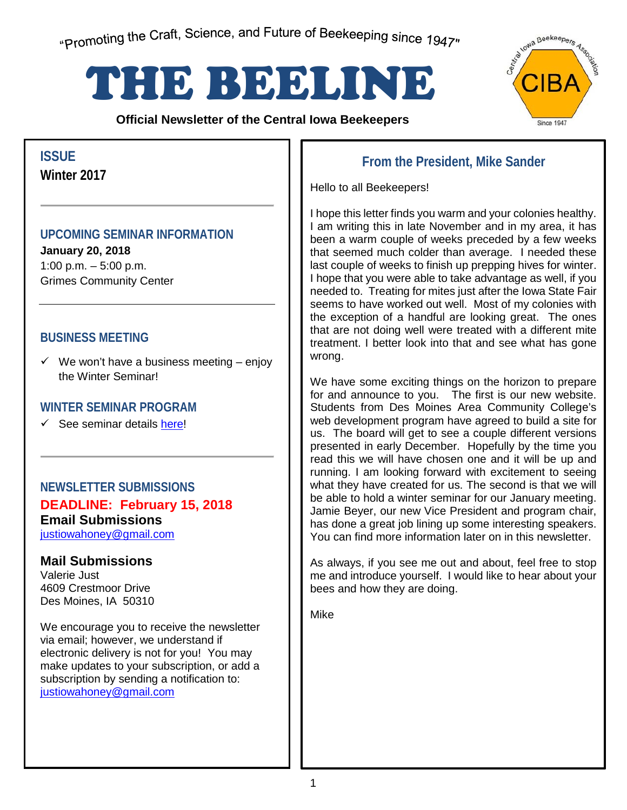"Promoting the Craft, Science, and Future of Beekeeping since 1947"

# THE BEELINE

**Official Newsletter of the Central Iowa Beekeepers** 



## **Winter 2017**

## **UPCOMING SEMINAR INFORMATION**

**January 20, 2018** 1:00 p.m. – 5:00 p.m. Grimes Community Center

## **BUSINESS MEETING**

 $\checkmark$  We won't have a business meeting – enjoy the Winter Seminar!

### **WINTER SEMINAR PROGRAM**

 $\checkmark$  See seminar details [here!](#page-2-0)

**NEWSLETTER SUBMISSIONS DEADLINE: February 15, 2018 Email Submissions**

justiowahoney@gmail.com

#### **Mail Submissions**

Valerie Just 4609 Crestmoor Drive Des Moines, IA 50310

We encourage you to receive the newsletter via email; however, we understand if electronic delivery is not for you! You may make updates to your subscription, or add a subscription by sending a notification to: justiowahoney@gmail.com

## **From the President, Mike Sander ISSUE**

Hello to all Beekeepers!

I hope this letter finds you warm and your colonies healthy. I am writing this in late November and in my area, it has been a warm couple of weeks preceded by a few weeks that seemed much colder than average. I needed these last couple of weeks to finish up prepping hives for winter. I hope that you were able to take advantage as well, if you needed to. Treating for mites just after the Iowa State Fair seems to have worked out well. Most of my colonies with the exception of a handful are looking great. The ones that are not doing well were treated with a different mite treatment. I better look into that and see what has gone wrong.

We have some exciting things on the horizon to prepare for and announce to you. The first is our new website. Students from Des Moines Area Community College's web development program have agreed to build a site for us. The board will get to see a couple different versions presented in early December. Hopefully by the time you read this we will have chosen one and it will be up and running. I am looking forward with excitement to seeing what they have created for us. The second is that we will be able to hold a winter seminar for our January meeting. Jamie Beyer, our new Vice President and program chair, has done a great job lining up some interesting speakers. You can find more information later on in this newsletter.

As always, if you see me out and about, feel free to stop me and introduce yourself. I would like to hear about your bees and how they are doing.

Mike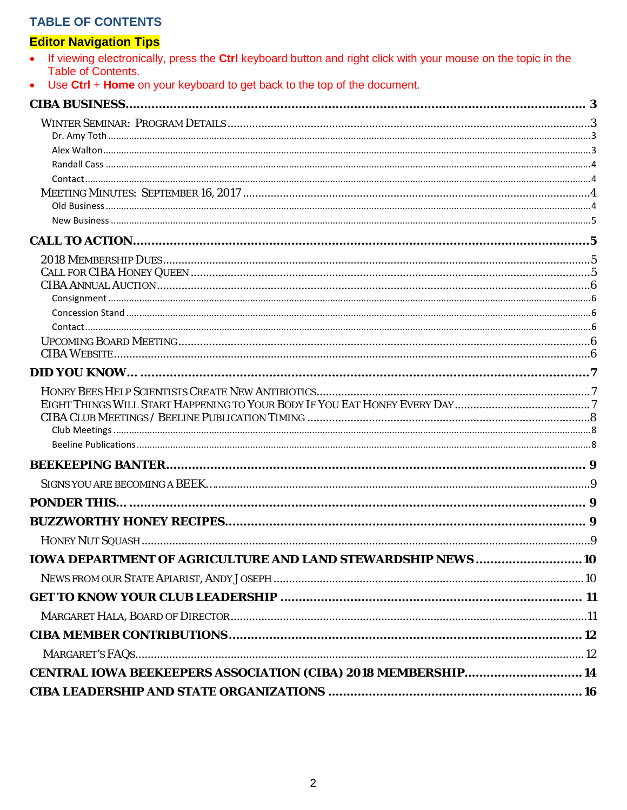## **TABLE OF CONTENTS**

## **Editor Navigation Tips**<br>• If viewing electronically

| If viewing electronically, press the Ctrl keyboard button and right click with your mouse on the topic in the<br><b>Table of Contents.</b> |   |
|--------------------------------------------------------------------------------------------------------------------------------------------|---|
| Use Ctrl + Home on your keyboard to get back to the top of the document.<br>$\bullet$                                                      |   |
|                                                                                                                                            |   |
|                                                                                                                                            |   |
|                                                                                                                                            |   |
|                                                                                                                                            |   |
|                                                                                                                                            |   |
|                                                                                                                                            |   |
|                                                                                                                                            |   |
|                                                                                                                                            |   |
|                                                                                                                                            |   |
|                                                                                                                                            |   |
|                                                                                                                                            |   |
|                                                                                                                                            |   |
|                                                                                                                                            |   |
|                                                                                                                                            |   |
|                                                                                                                                            |   |
|                                                                                                                                            |   |
|                                                                                                                                            |   |
|                                                                                                                                            |   |
|                                                                                                                                            |   |
|                                                                                                                                            |   |
|                                                                                                                                            |   |
|                                                                                                                                            |   |
|                                                                                                                                            |   |
| PONDER THIS.                                                                                                                               | 9 |
|                                                                                                                                            |   |
|                                                                                                                                            |   |
| <b>IOWA DEPARTMENT OF AGRICULTURE AND LAND STEWARDSHIP NEWS  10</b>                                                                        |   |
|                                                                                                                                            |   |
|                                                                                                                                            |   |
|                                                                                                                                            |   |
|                                                                                                                                            |   |
|                                                                                                                                            |   |
| CENTRAL IOWA BEEKEEPERS ASSOCIATION (CIBA) 2018 MEMBERSHIP 14                                                                              |   |
|                                                                                                                                            |   |
|                                                                                                                                            |   |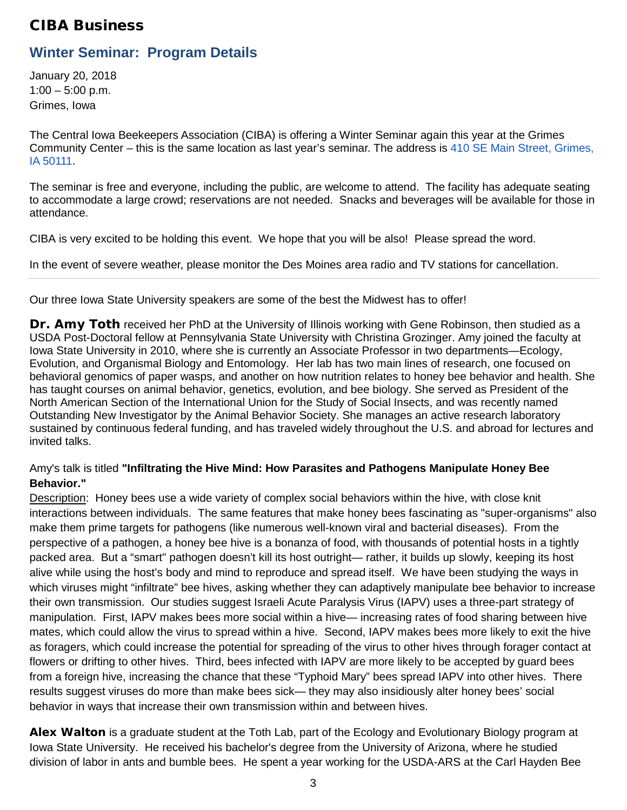## <span id="page-2-1"></span>CIBA Business

## <span id="page-2-0"></span>**Winter Seminar: Program Details**

January 20, 2018  $1:00 - 5:00$  p.m. Grimes, Iowa

The Central Iowa Beekeepers Association (CIBA) is offering a Winter Seminar again this year at the Grimes Community Center – this is the same location as last year's seminar. The address is [410 SE Main Street, Grimes,](https://maps.google.com/?q=410+SE+Main+Street,+Grimes,+IA%C2%A050111&entry=gmail&source=g)  [IA](https://maps.google.com/?q=410+SE+Main+Street,+Grimes,+IA%C2%A050111&entry=gmail&source=g) [50111.](https://maps.google.com/?q=410+SE+Main+Street,+Grimes,+IA%C2%A050111&entry=gmail&source=g)

The seminar is free and everyone, including the public, are welcome to attend. The facility has adequate seating to accommodate a large crowd; reservations are not needed. Snacks and beverages will be available for those in attendance.

CIBA is very excited to be holding this event. We hope that you will be also! Please spread the word.

In the event of severe weather, please monitor the Des Moines area radio and TV stations for cancellation.

Our three Iowa State University speakers are some of the best the Midwest has to offer!

<span id="page-2-2"></span>**Dr. Amy Toth** received her PhD at the University of Illinois working with Gene Robinson, then studied as a USDA Post-Doctoral fellow at Pennsylvania State University with Christina Grozinger. Amy joined the faculty at Iowa State University in 2010, where she is currently an Associate Professor in two departments—Ecology, Evolution, and Organismal Biology and Entomology. Her lab has two main lines of research, one focused on behavioral genomics of paper wasps, and another on how nutrition relates to honey bee behavior and health. She has taught courses on animal behavior, genetics, evolution, and bee biology. She served as President of the North American Section of the International Union for the Study of Social Insects, and was recently named Outstanding New Investigator by the Animal Behavior Society. She manages an active research laboratory sustained by continuous federal funding, and has traveled widely throughout the U.S. and abroad for lectures and invited talks.

#### Amy's talk is titled **"Infiltrating the Hive Mind: How Parasites and Pathogens Manipulate Honey Bee Behavior."**

Description: Honey bees use a wide variety of complex social behaviors within the hive, with close knit interactions between individuals. The same features that make honey bees fascinating as "super-organisms" also make them prime targets for pathogens (like numerous well-known viral and bacterial diseases). From the perspective of a pathogen, a honey bee hive is a bonanza of food, with thousands of potential hosts in a tightly packed area. But a "smart" pathogen doesn't kill its host outright— rather, it builds up slowly, keeping its host alive while using the host's body and mind to reproduce and spread itself. We have been studying the ways in which viruses might "infiltrate" bee hives, asking whether they can adaptively manipulate bee behavior to increase their own transmission. Our studies suggest Israeli Acute Paralysis Virus (IAPV) uses a three-part strategy of manipulation. First, IAPV makes bees more social within a hive— increasing rates of food sharing between hive mates, which could allow the virus to spread within a hive. Second, IAPV makes bees more likely to exit the hive as foragers, which could increase the potential for spreading of the virus to other hives through forager contact at flowers or drifting to other hives. Third, bees infected with IAPV are more likely to be accepted by guard bees from a foreign hive, increasing the chance that these "Typhoid Mary" bees spread IAPV into other hives. There results suggest viruses do more than make bees sick— they may also insidiously alter honey bees' social behavior in ways that increase their own transmission within and between hives.

<span id="page-2-3"></span>**Alex Walton** is a graduate student at the Toth Lab, part of the Ecology and Evolutionary Biology program at Iowa State University. He received his bachelor's degree from the University of Arizona, where he studied division of labor in ants and bumble bees. He spent a year working for the USDA-ARS at the Carl Hayden Bee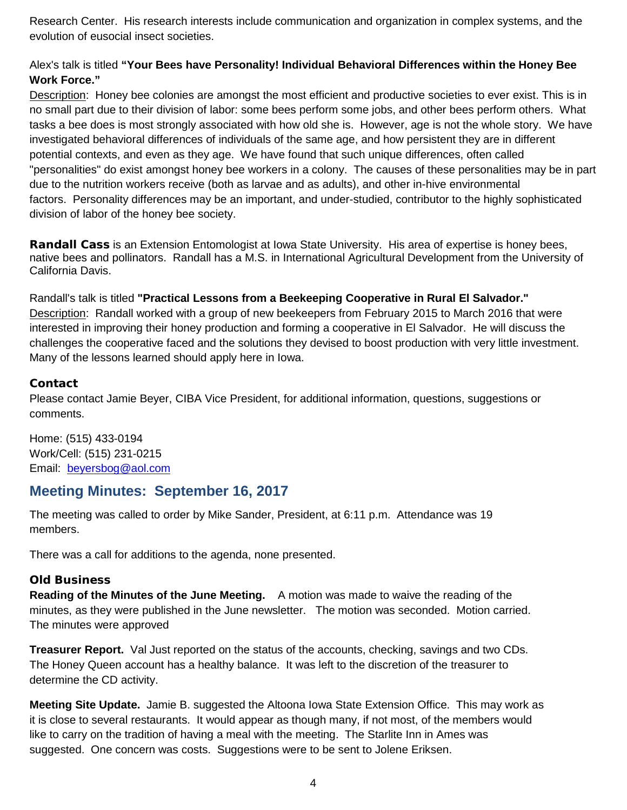Research Center. His research interests include communication and organization in complex systems, and the evolution of eusocial insect societies.

#### Alex's talk is titled **"Your Bees have Personality! Individual Behavioral Differences within the Honey Bee Work Force."**

Description: Honey bee colonies are amongst the most efficient and productive societies to ever exist. This is in no small part due to their division of labor: some bees perform some jobs, and other bees perform others. What tasks a bee does is most strongly associated with how old she is. However, age is not the whole story. We have investigated behavioral differences of individuals of the same age, and how persistent they are in different potential contexts, and even as they age. We have found that such unique differences, often called "personalities" do exist amongst honey bee workers in a colony. The causes of these personalities may be in part due to the nutrition workers receive (both as larvae and as adults), and other in-hive environmental factors. Personality differences may be an important, and under-studied, contributor to the highly sophisticated division of labor of the honey bee society.

<span id="page-3-0"></span>**Randall Cass** is an Extension Entomologist at Iowa State University. His area of expertise is honey bees, native bees and pollinators. Randall has a M.S. in International Agricultural Development from the University of California Davis.

Randall's talk is titled **"Practical Lessons from a Beekeeping Cooperative in Rural El Salvador."** Description: Randall worked with a group of new beekeepers from February 2015 to March 2016 that were interested in improving their honey production and forming a cooperative in El Salvador. He will discuss the challenges the cooperative faced and the solutions they devised to boost production with very little investment. Many of the lessons learned should apply here in Iowa.

#### <span id="page-3-1"></span>**Contact**

Please contact Jamie Beyer, CIBA Vice President, for additional information, questions, suggestions or comments.

Home: [\(515\) 433-0194](tel:(515)%20433-0194) Work/Cell: [\(515\) 231-0215](tel:(515)%20231-0215) Email: [beyersbog@aol.com](mailto:beyersbog@aol.com)

## <span id="page-3-2"></span>**Meeting Minutes: September 16, 2017**

The meeting was called to order by Mike Sander, President, at 6:11 p.m. Attendance was 19 members.

There was a call for additions to the agenda, none presented.

#### <span id="page-3-3"></span>**Old Business**

**Reading of the Minutes of the June Meeting.** A motion was made to waive the reading of the minutes, as they were published in the June newsletter. The motion was seconded. Motion carried. The minutes were approved

**Treasurer Report.** Val Just reported on the status of the accounts, checking, savings and two CDs. The Honey Queen account has a healthy balance. It was left to the discretion of the treasurer to determine the CD activity.

**Meeting Site Update.** Jamie B. suggested the Altoona Iowa State Extension Office. This may work as it is close to several restaurants. It would appear as though many, if not most, of the members would like to carry on the tradition of having a meal with the meeting. The Starlite Inn in Ames was suggested. One concern was costs. Suggestions were to be sent to Jolene Eriksen.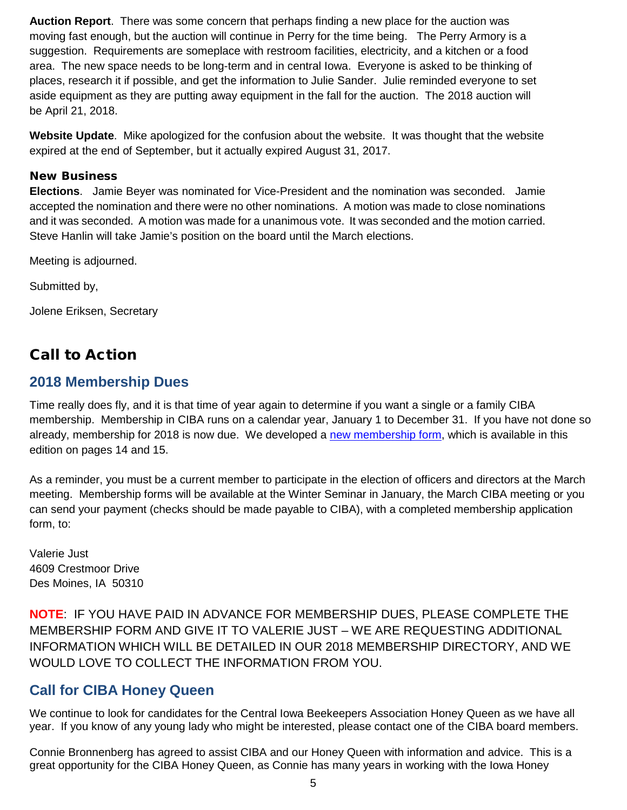**Auction Report**. There was some concern that perhaps finding a new place for the auction was moving fast enough, but the auction will continue in Perry for the time being. The Perry Armory is a suggestion. Requirements are someplace with restroom facilities, electricity, and a kitchen or a food area. The new space needs to be long-term and in central Iowa. Everyone is asked to be thinking of places, research it if possible, and get the information to Julie Sander. Julie reminded everyone to set aside equipment as they are putting away equipment in the fall for the auction. The 2018 auction will be April 21, 2018.

**Website Update**. Mike apologized for the confusion about the website. It was thought that the website expired at the end of September, but it actually expired August 31, 2017.

#### <span id="page-4-0"></span>**New Business**

**Elections**. Jamie Beyer was nominated for Vice-President and the nomination was seconded. Jamie accepted the nomination and there were no other nominations. A motion was made to close nominations and it was seconded. A motion was made for a unanimous vote. It was seconded and the motion carried. Steve Hanlin will take Jamie's position on the board until the March elections.

Meeting is adjourned.

Submitted by,

Jolene Eriksen, Secretary

## <span id="page-4-1"></span>Call to Action

## <span id="page-4-2"></span>**2018 Membership Dues**

Time really does fly, and it is that time of year again to determine if you want a single or a family CIBA membership. Membership in CIBA runs on a calendar year, January 1 to December 31. If you have not done so already, membership for 2018 is now due. We developed a [new membership form,](#page-13-0) which is available in this edition on pages 14 and 15.

As a reminder, you must be a current member to participate in the election of officers and directors at the March meeting. Membership forms will be available at the Winter Seminar in January, the March CIBA meeting or you can send your payment (checks should be made payable to CIBA), with a completed membership application form, to:

Valerie Just 4609 Crestmoor Drive Des Moines, IA 50310

**NOTE**: IF YOU HAVE PAID IN ADVANCE FOR MEMBERSHIP DUES, PLEASE COMPLETE THE MEMBERSHIP FORM AND GIVE IT TO VALERIE JUST – WE ARE REQUESTING ADDITIONAL INFORMATION WHICH WILL BE DETAILED IN OUR 2018 MEMBERSHIP DIRECTORY, AND WE WOULD LOVE TO COLLECT THE INFORMATION FROM YOU.

## <span id="page-4-3"></span>**Call for CIBA Honey Queen**

We continue to look for candidates for the Central Iowa Beekeepers Association Honey Queen as we have all year. If you know of any young lady who might be interested, please contact one of the CIBA board members.

Connie Bronnenberg has agreed to assist CIBA and our Honey Queen with information and advice. This is a great opportunity for the CIBA Honey Queen, as Connie has many years in working with the Iowa Honey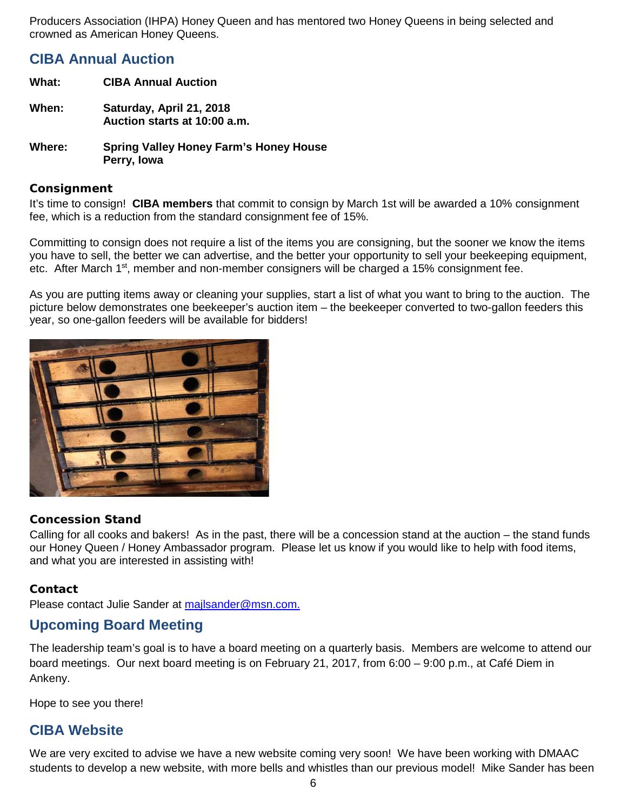Producers Association (IHPA) Honey Queen and has mentored two Honey Queens in being selected and crowned as American Honey Queens.

## <span id="page-5-0"></span>**CIBA Annual Auction**

- **What: CIBA Annual Auction When: Saturday, April 21, 2018 Auction starts at 10:00 a.m.**
- **Where: Spring Valley Honey Farm's Honey House Perry, Iowa**

#### <span id="page-5-1"></span>**Consignment**

It's time to consign! **CIBA members** that commit to consign by March 1st will be awarded a 10% consignment fee, which is a reduction from the standard consignment fee of 15%.

Committing to consign does not require a list of the items you are consigning, but the sooner we know the items you have to sell, the better we can advertise, and the better your opportunity to sell your beekeeping equipment, etc. After March 1<sup>st</sup>, member and non-member consigners will be charged a 15% consignment fee.

As you are putting items away or cleaning your supplies, start a list of what you want to bring to the auction. The picture below demonstrates one beekeeper's auction item – the beekeeper converted to two-gallon feeders this year, so one-gallon feeders will be available for bidders!



#### <span id="page-5-2"></span>**Concession Stand**

Calling for all cooks and bakers! As in the past, there will be a concession stand at the auction – the stand funds our Honey Queen / Honey Ambassador program. Please let us know if you would like to help with food items, and what you are interested in assisting with!

#### <span id="page-5-3"></span>**Contact**

Please contact Julie Sander at [majlsander@msn.com.](mailto:majlsander@msn.com)

## <span id="page-5-4"></span>**Upcoming Board Meeting**

The leadership team's goal is to have a board meeting on a quarterly basis. Members are welcome to attend our board meetings. Our next board meeting is on February 21, 2017, from 6:00 – 9:00 p.m., at Café Diem in Ankeny.

Hope to see you there!

## <span id="page-5-5"></span>**CIBA Website**

We are very excited to advise we have a new website coming very soon! We have been working with DMAAC students to develop a new website, with more bells and whistles than our previous model! Mike Sander has been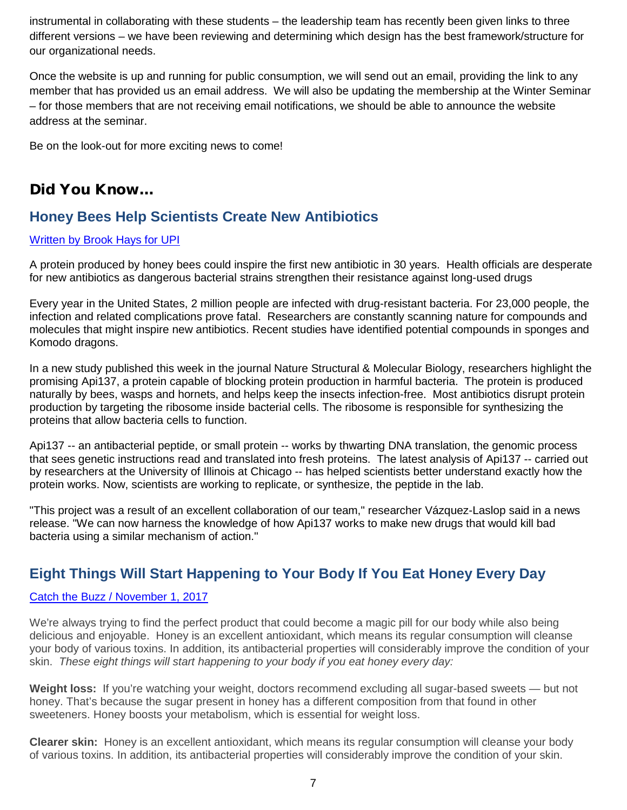instrumental in collaborating with these students – the leadership team has recently been given links to three different versions – we have been reviewing and determining which design has the best framework/structure for our organizational needs.

Once the website is up and running for public consumption, we will send out an email, providing the link to any member that has provided us an email address. We will also be updating the membership at the Winter Seminar – for those members that are not receiving email notifications, we should be able to announce the website address at the seminar.

Be on the look-out for more exciting news to come!

## <span id="page-6-0"></span>Did You Know…

## <span id="page-6-1"></span>**Honey Bees Help Scientists Create New Antibiotics**

#### [Written by Brook Hays for UPI](https://www.upi.com/Science_News/2017/09/07/Honey-bees-could-help-scientists-create-new-antibiotic/2871504787310/)

A protein produced by honey bees could inspire the first new antibiotic in 30 years. Health officials are desperate for new antibiotics as dangerous bacterial strains strengthen their resistance against long-used drugs

Every year in the United States, 2 million people are infected with drug-resistant bacteria. For 23,000 people, the infection and related complications prove fatal. Researchers are constantly scanning nature for compounds and molecules that might inspire new antibiotics. Recent studies have identified potential compounds in [sponges](https://www.upi.com/Science_News/2016/06/22/Antarctic-sponge-yields-MRSA-killing-compound/8321466608914/) and [Komodo dragons.](https://www.upi.com/Science_News/2017/02/23/Komodo-dragon-blood-boasts-antimicrobial-properties/3451487863582/)

In a new study published this week [in the journal Nature Structural & Molecular Biology,](https://www.nature.com/nsmb/journal/vaop/ncurrent/full/nsmb.3439.html) researchers highlight the promising Api137, a protein capable of blocking protein production in harmful bacteria. The protein is produced naturally by bees, wasps and hornets, and helps keep the insects infection-free. Most antibiotics disrupt protein production by targeting the ribosome inside bacterial cells. The ribosome is responsible for synthesizing the proteins that allow bacteria cells to function.

Api137 -- an antibacterial peptide, or small protein -- works by thwarting DNA translation, the genomic process that sees genetic instructions read and translated into fresh proteins. The latest analysis of Api137 -- carried out by researchers at the University of Illinois at Chicago -- has helped scientists better understand exactly how the protein works. Now, scientists are working to replicate, or synthesize, the peptide in the lab.

"This project was a result of an excellent collaboration of our team," researcher Vázquez-Laslop [said in a news](https://today.uic.edu/honeybees-could-play-a-role-in-developing-new-antibiotics)  [release.](https://today.uic.edu/honeybees-could-play-a-role-in-developing-new-antibiotics) "We can now harness the knowledge of how Api137 works to make new drugs that would kill bad bacteria using a similar mechanism of action."

## <span id="page-6-2"></span>**Eight Things Will Start Happening to Your Body If You Eat Honey Every Day**

#### [Catch the Buzz / November 1, 2017](http://www.beeculture.com/catch-buzz-eight-things-will-start-happening-body-eat-honey-every-day/?utm_source=Catch+The+Buzz&utm_campaign=0e22e7db5b-Catch_The_Buzz_4_29_2015&utm_medium=email&utm_term=0_0272f190ab-0e22e7db5b-332099069)

We're always trying to find the perfect product that could become a magic pill for our body while also being delicious and enjoyable. Honey is an excellent antioxidant, which means its regular consumption will cleanse your body of various toxins. In addition, its antibacterial properties will considerably improve the condition of your skin. *These eight things will start happening to your body if you eat honey every day:*

**Weight loss:** If you're watching your weight, doctors recommend excluding all sugar-based sweets — but not honey. That's because the sugar present in honey has a different composition from that found in other sweeteners. Honey boosts your metabolism, which is essential for weight loss.

**Clearer skin:** Honey is an excellent antioxidant, which means its regular consumption will cleanse your body of various toxins. In addition, its antibacterial properties will considerably improve the condition of your skin.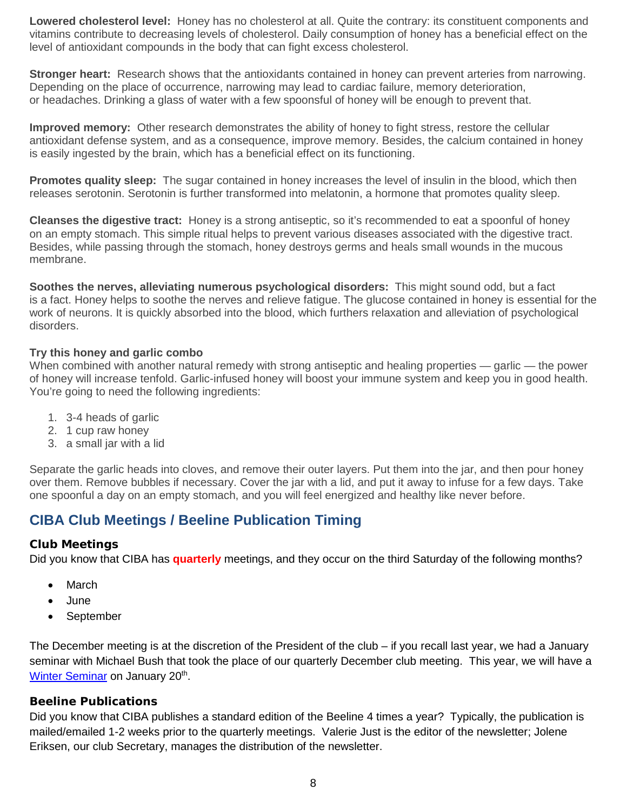**Lowered cholesterol level:** Honey has no cholesterol at all. Quite the contrary: its constituent components and vitamins contribute to decreasing levels of cholesterol. Daily consumption of honey has a beneficial effect on the level of antioxidant compounds in the body that can fight excess cholesterol.

**Stronger heart:** Research shows that the antioxidants contained in honey can prevent arteries from narrowing. Depending on the place of occurrence, narrowing may lead to cardiac failure, memory deterioration, or headaches. Drinking a glass of water with a few spoonsful of honey will be enough to prevent that.

**Improved memory:** Other research demonstrates the ability of honey to fight stress, restore the cellular antioxidant defense system, and as a consequence, improve memory. Besides, the calcium contained in honey is easily ingested by the brain, which has a beneficial effect on its functioning.

**Promotes quality sleep:** The sugar contained in honey increases the level of insulin in the blood, which then releases serotonin. Serotonin is further transformed into melatonin, a hormone that promotes quality sleep.

**Cleanses the digestive tract:** Honey is a strong antiseptic, so it's recommended to eat a spoonful of honey on an empty stomach. This simple ritual helps to prevent various diseases associated with the digestive tract. Besides, while passing through the stomach, honey destroys germs and heals small wounds in the mucous membrane.

**Soothes the nerves, alleviating numerous psychological disorders:** This might sound odd, but a fact is a fact. Honey helps to soothe the nerves and relieve fatigue. The glucose contained in honey is essential for the work of neurons. It is quickly absorbed into the blood, which furthers relaxation and alleviation of psychological disorders.

#### **Try this honey and garlic combo**

When combined with another natural remedy with strong antiseptic and healing properties — garlic — the power of honey will increase tenfold. Garlic-infused honey will boost your immune system and keep you in good health. You're going to need the following ingredients:

- 1. 3-4 heads of garlic
- 2. 1 cup raw honey
- 3. a small jar with a lid

Separate the garlic heads into cloves, and remove their outer layers. Put them into the jar, and then pour honey over them. Remove bubbles if necessary. Cover the jar with a lid, and put it away to infuse for a few days. Take one spoonful a day on an empty stomach, and you will feel energized and healthy like never before.

## <span id="page-7-0"></span>**CIBA Club Meetings / Beeline Publication Timing**

#### <span id="page-7-1"></span>**Club Meetings**

Did you know that CIBA has **quarterly** meetings, and they occur on the third Saturday of the following months?

- March
- June
- September

The December meeting is at the discretion of the President of the club – if you recall last year, we had a January seminar with Michael Bush that took the place of our quarterly December club meeting. This year, we will have a [Winter Seminar](#page-2-0) on January 20<sup>th</sup>.

#### <span id="page-7-2"></span>**Beeline Publications**

Did you know that CIBA publishes a standard edition of the Beeline 4 times a year? Typically, the publication is mailed/emailed 1-2 weeks prior to the quarterly meetings. Valerie Just is the editor of the newsletter; Jolene Eriksen, our club Secretary, manages the distribution of the newsletter.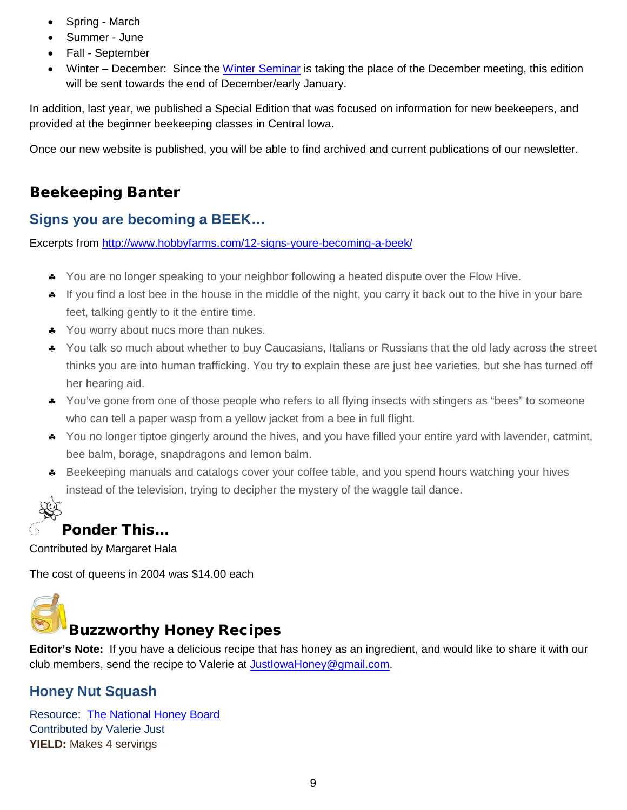- Spring March
- Summer June
- Fall September
- Winter December: Since the [Winter Seminar](#page-2-0) is taking the place of the December meeting, this edition will be sent towards the end of December/early January.

In addition, last year, we published a Special Edition that was focused on information for new beekeepers, and provided at the beginner beekeeping classes in Central Iowa.

Once our new website is published, you will be able to find archived and current publications of our newsletter.

## <span id="page-8-0"></span>Beekeeping Banter

## <span id="page-8-1"></span>**Signs you are becoming a BEEK…**

Excerpts from<http://www.hobbyfarms.com/12-signs-youre-becoming-a-beek/>

- ♣ You are no longer speaking to your neighbor following a heated dispute over the Flow Hive.
- ♣ If you find a lost bee in the house in the middle of the night, you carry it back out to the hive in your bare feet, talking gently to it the entire time.
- ♣ You worry about nucs more than nukes.
- ♣ You talk so much about whether to buy Caucasians, Italians or Russians that the old lady across the street thinks you are into human trafficking. You try to explain these are just bee varieties, but she has turned off her hearing aid.
- ♣ You've gone from one of those people who refers to all flying insects with stingers as "bees" to someone who can tell a paper wasp from a yellow jacket from a bee in full flight.
- ♣ You no longer tiptoe gingerly around the hives, and you have filled your entire yard with lavender, catmint, bee balm, borage, snapdragons and lemon balm.
- ♣ Beekeeping manuals and catalogs cover your coffee table, and you spend hours watching your hives instead of the television, trying to decipher the mystery of the waggle tail dance.

## <span id="page-8-2"></span>Ponder This…

Contributed by Margaret Hala

The cost of queens in 2004 was \$14.00 each

<span id="page-8-3"></span>

## Buzzworthy Honey Recipes

**Editor's Note:** If you have a delicious recipe that has honey as an ingredient, and would like to share it with our club members, send the recipe to Valerie at [JustIowaHoney@gmail.com.](mailto:JustIowaHoney@gmail.com)

## <span id="page-8-4"></span>**Honey Nut Squash**

Resource: [The National Honey Board](https://www.honey.com/recipes) Contributed by Valerie Just **YIELD:** Makes 4 servings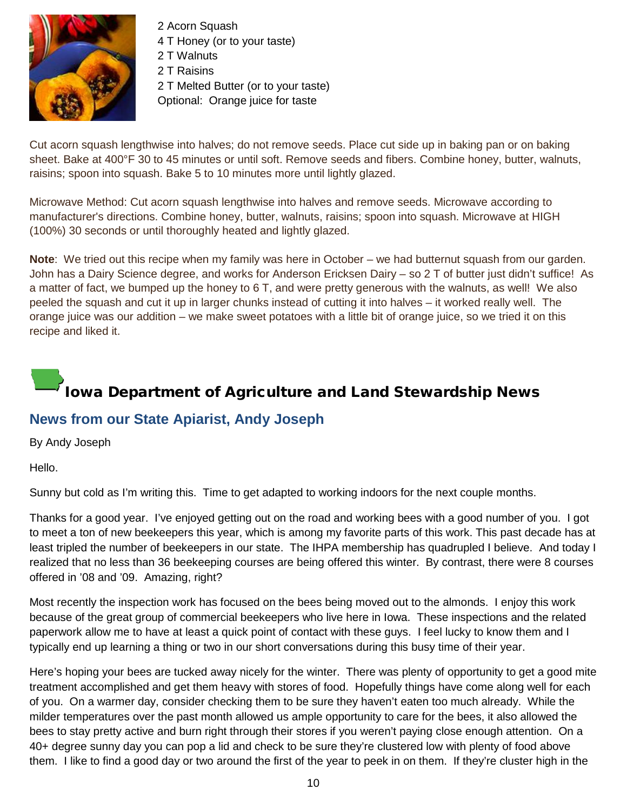

2 Acorn Squash

4 T Honey (or to your taste) 2 T Walnuts 2 T Raisins 2 T Melted Butter (or to your taste) Optional: Orange juice for taste

Cut acorn squash lengthwise into halves; do not remove seeds. Place cut side up in baking pan or on baking sheet. Bake at 400°F 30 to 45 minutes or until soft. Remove seeds and fibers. Combine honey, butter, walnuts, raisins; spoon into squash. Bake 5 to 10 minutes more until lightly glazed.

Microwave Method: Cut acorn squash lengthwise into halves and remove seeds. Microwave according to manufacturer's directions. Combine honey, butter, walnuts, raisins; spoon into squash. Microwave at HIGH (100%) 30 seconds or until thoroughly heated and lightly glazed.

**Note**: We tried out this recipe when my family was here in October – we had butternut squash from our garden. John has a Dairy Science degree, and works for Anderson Ericksen Dairy – so 2 T of butter just didn't suffice! As a matter of fact, we bumped up the honey to 6 T, and were pretty generous with the walnuts, as well! We also peeled the squash and cut it up in larger chunks instead of cutting it into halves – it worked really well. The orange juice was our addition – we make sweet potatoes with a little bit of orange juice, so we tried it on this recipe and liked it.

# <span id="page-9-0"></span>Iowa Department of Agriculture and Land Stewardship News

## <span id="page-9-1"></span>**News from our State Apiarist, Andy Joseph**

By Andy Joseph

Hello.

Sunny but cold as I'm writing this. Time to get adapted to working indoors for the next couple months.

Thanks for a good year. I've enjoyed getting out on the road and working bees with a good number of you. I got to meet a ton of new beekeepers this year, which is among my favorite parts of this work. This past decade has at least tripled the number of beekeepers in our state. The IHPA membership has quadrupled I believe. And today I realized that no less than 36 beekeeping courses are being offered this winter. By contrast, there were 8 courses offered in '08 and '09. Amazing, right?

Most recently the inspection work has focused on the bees being moved out to the almonds. I enjoy this work because of the great group of commercial beekeepers who live here in Iowa. These inspections and the related paperwork allow me to have at least a quick point of contact with these guys. I feel lucky to know them and I typically end up learning a thing or two in our short conversations during this busy time of their year.

Here's hoping your bees are tucked away nicely for the winter. There was plenty of opportunity to get a good mite treatment accomplished and get them heavy with stores of food. Hopefully things have come along well for each of you. On a warmer day, consider checking them to be sure they haven't eaten too much already. While the milder temperatures over the past month allowed us ample opportunity to care for the bees, it also allowed the bees to stay pretty active and burn right through their stores if you weren't paying close enough attention. On a 40+ degree sunny day you can pop a lid and check to be sure they're clustered low with plenty of food above them. I like to find a good day or two around the first of the year to peek in on them. If they're cluster high in the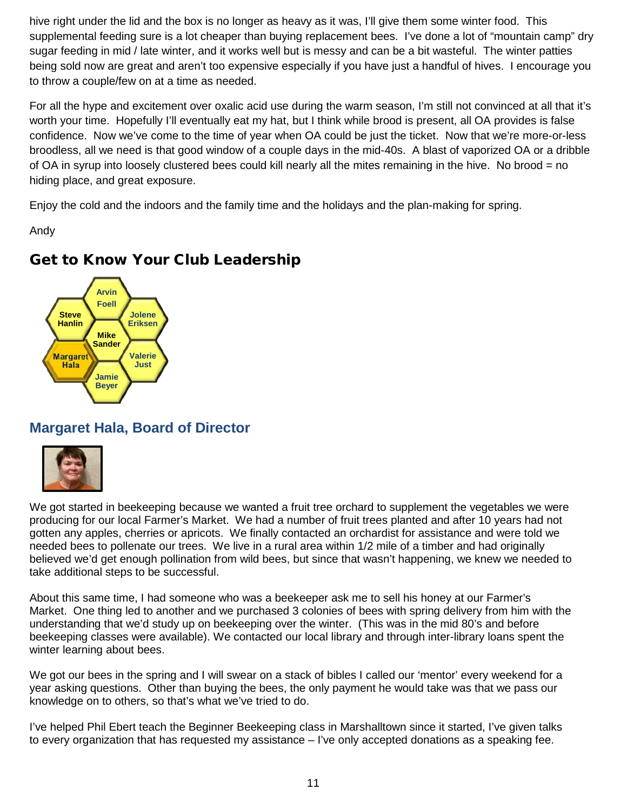hive right under the lid and the box is no longer as heavy as it was, I'll give them some winter food. This supplemental feeding sure is a lot cheaper than buying replacement bees. I've done a lot of "mountain camp" dry sugar feeding in mid / late winter, and it works well but is messy and can be a bit wasteful. The winter patties being sold now are great and aren't too expensive especially if you have just a handful of hives. I encourage you to throw a couple/few on at a time as needed.

For all the hype and excitement over oxalic acid use during the warm season, I'm still not convinced at all that it's worth your time. Hopefully I'll eventually eat my hat, but I think while brood is present, all OA provides is false confidence. Now we've come to the time of year when OA could be just the ticket. Now that we're more-or-less broodless, all we need is that good window of a couple days in the mid-40s. A blast of vaporized OA or a dribble of OA in syrup into loosely clustered bees could kill nearly all the mites remaining in the hive. No brood = no hiding place, and great exposure.

Enjoy the cold and the indoors and the family time and the holidays and the plan-making for spring.

Andy

## <span id="page-10-0"></span>Get to Know Your Club Leadership



## <span id="page-10-1"></span>**Margaret Hala, Board of Director**



We got started in beekeeping because we wanted a fruit tree orchard to supplement the vegetables we were producing for our local Farmer's Market. We had a number of fruit trees planted and after 10 years had not gotten any apples, cherries or apricots. We finally contacted an orchardist for assistance and were told we needed bees to pollenate our trees. We live in a rural area within 1/2 mile of a timber and had originally believed we'd get enough pollination from wild bees, but since that wasn't happening, we knew we needed to take additional steps to be successful.

About this same time, I had someone who was a beekeeper ask me to sell his honey at our Farmer's Market. One thing led to another and we purchased 3 colonies of bees with spring delivery from him with the understanding that we'd study up on beekeeping over the winter. (This was in the mid 80's and before beekeeping classes were available). We contacted our local library and through inter-library loans spent the winter learning about bees.

We got our bees in the spring and I will swear on a stack of bibles I called our 'mentor' every weekend for a year asking questions. Other than buying the bees, the only payment he would take was that we pass our knowledge on to others, so that's what we've tried to do.

I've helped Phil Ebert teach the Beginner Beekeeping class in Marshalltown since it started, I've given talks to every organization that has requested my assistance – I've only accepted donations as a speaking fee.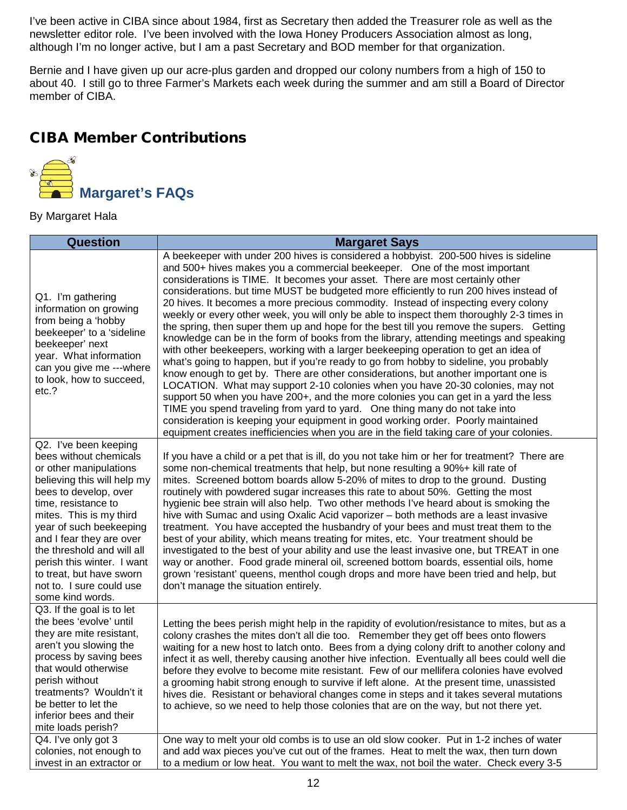I've been active in CIBA since about 1984, first as Secretary then added the Treasurer role as well as the newsletter editor role. I've been involved with the Iowa Honey Producers Association almost as long, although I'm no longer active, but I am a past Secretary and BOD member for that organization.

Bernie and I have given up our acre-plus garden and dropped our colony numbers from a high of 150 to about 40. I still go to three Farmer's Markets each week during the summer and am still a Board of Director member of CIBA.

## <span id="page-11-0"></span>CIBA Member Contributions

<span id="page-11-1"></span>

By Margaret Hala

| <b>Question</b>                                                                                                                                                                                                                                                                                                                                                                    | <b>Margaret Says</b>                                                                                                                                                                                                                                                                                                                                                                                                                                                                                                                                                                                                                                                                                                                                                                                                                                                                                                                                                                                                                                                                                                                                                                                                                                                                                                                                                                                                                    |
|------------------------------------------------------------------------------------------------------------------------------------------------------------------------------------------------------------------------------------------------------------------------------------------------------------------------------------------------------------------------------------|-----------------------------------------------------------------------------------------------------------------------------------------------------------------------------------------------------------------------------------------------------------------------------------------------------------------------------------------------------------------------------------------------------------------------------------------------------------------------------------------------------------------------------------------------------------------------------------------------------------------------------------------------------------------------------------------------------------------------------------------------------------------------------------------------------------------------------------------------------------------------------------------------------------------------------------------------------------------------------------------------------------------------------------------------------------------------------------------------------------------------------------------------------------------------------------------------------------------------------------------------------------------------------------------------------------------------------------------------------------------------------------------------------------------------------------------|
| Q1. I'm gathering<br>information on growing<br>from being a 'hobby<br>beekeeper' to a 'sideline<br>beekeeper' next<br>year. What information<br>can you give me ---where<br>to look, how to succeed,<br>etc.?                                                                                                                                                                      | A beekeeper with under 200 hives is considered a hobbyist. 200-500 hives is sideline<br>and 500+ hives makes you a commercial beekeeper. One of the most important<br>considerations is TIME. It becomes your asset. There are most certainly other<br>considerations. but time MUST be budgeted more efficiently to run 200 hives instead of<br>20 hives. It becomes a more precious commodity. Instead of inspecting every colony<br>weekly or every other week, you will only be able to inspect them thoroughly 2-3 times in<br>the spring, then super them up and hope for the best till you remove the supers. Getting<br>knowledge can be in the form of books from the library, attending meetings and speaking<br>with other beekeepers, working with a larger beekeeping operation to get an idea of<br>what's going to happen, but if you're ready to go from hobby to sideline, you probably<br>know enough to get by. There are other considerations, but another important one is<br>LOCATION. What may support 2-10 colonies when you have 20-30 colonies, may not<br>support 50 when you have 200+, and the more colonies you can get in a yard the less<br>TIME you spend traveling from yard to yard. One thing many do not take into<br>consideration is keeping your equipment in good working order. Poorly maintained<br>equipment creates inefficiencies when you are in the field taking care of your colonies. |
| Q2. I've been keeping<br>bees without chemicals<br>or other manipulations<br>believing this will help my<br>bees to develop, over<br>time, resistance to<br>mites. This is my third<br>year of such beekeeping<br>and I fear they are over<br>the threshold and will all<br>perish this winter. I want<br>to treat, but have sworn<br>not to. I sure could use<br>some kind words. | If you have a child or a pet that is ill, do you not take him or her for treatment? There are<br>some non-chemical treatments that help, but none resulting a 90%+ kill rate of<br>mites. Screened bottom boards allow 5-20% of mites to drop to the ground. Dusting<br>routinely with powdered sugar increases this rate to about 50%. Getting the most<br>hygienic bee strain will also help. Two other methods I've heard about is smoking the<br>hive with Sumac and using Oxalic Acid vaporizer – both methods are a least invasive<br>treatment. You have accepted the husbandry of your bees and must treat them to the<br>best of your ability, which means treating for mites, etc. Your treatment should be<br>investigated to the best of your ability and use the least invasive one, but TREAT in one<br>way or another. Food grade mineral oil, screened bottom boards, essential oils, home<br>grown 'resistant' queens, menthol cough drops and more have been tried and help, but<br>don't manage the situation entirely.                                                                                                                                                                                                                                                                                                                                                                                              |
| Q3. If the goal is to let<br>the bees 'evolve' until<br>they are mite resistant,<br>aren't you slowing the<br>process by saving bees<br>that would otherwise<br>perish without<br>treatments? Wouldn't it<br>be better to let the<br>inferior bees and their<br>mite loads perish?                                                                                                 | Letting the bees perish might help in the rapidity of evolution/resistance to mites, but as a<br>colony crashes the mites don't all die too. Remember they get off bees onto flowers<br>waiting for a new host to latch onto. Bees from a dying colony drift to another colony and<br>infect it as well, thereby causing another hive infection. Eventually all bees could well die<br>before they evolve to become mite resistant. Few of our mellifera colonies have evolved<br>a grooming habit strong enough to survive if left alone. At the present time, unassisted<br>hives die. Resistant or behavioral changes come in steps and it takes several mutations<br>to achieve, so we need to help those colonies that are on the way, but not there yet.                                                                                                                                                                                                                                                                                                                                                                                                                                                                                                                                                                                                                                                                          |
| Q4. I've only got 3<br>colonies, not enough to<br>invest in an extractor or                                                                                                                                                                                                                                                                                                        | One way to melt your old combs is to use an old slow cooker. Put in 1-2 inches of water<br>and add wax pieces you've cut out of the frames. Heat to melt the wax, then turn down<br>to a medium or low heat. You want to melt the wax, not boil the water. Check every 3-5                                                                                                                                                                                                                                                                                                                                                                                                                                                                                                                                                                                                                                                                                                                                                                                                                                                                                                                                                                                                                                                                                                                                                              |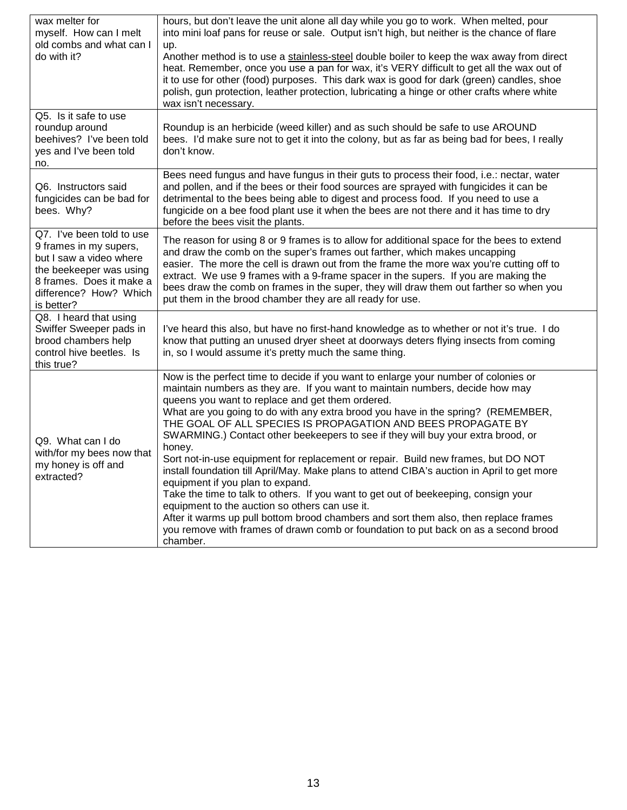| wax melter for<br>myself. How can I melt<br>old combs and what can I<br>do with it?                                                                                           | hours, but don't leave the unit alone all day while you go to work. When melted, pour<br>into mini loaf pans for reuse or sale. Output isn't high, but neither is the chance of flare<br>up.<br>Another method is to use a stainless-steel double boiler to keep the wax away from direct<br>heat. Remember, once you use a pan for wax, it's VERY difficult to get all the wax out of<br>it to use for other (food) purposes. This dark wax is good for dark (green) candles, shoe<br>polish, gun protection, leather protection, lubricating a hinge or other crafts where white<br>wax isn't necessary.                                                                                                                                                                                                                                                                                                                                                                                                                             |
|-------------------------------------------------------------------------------------------------------------------------------------------------------------------------------|----------------------------------------------------------------------------------------------------------------------------------------------------------------------------------------------------------------------------------------------------------------------------------------------------------------------------------------------------------------------------------------------------------------------------------------------------------------------------------------------------------------------------------------------------------------------------------------------------------------------------------------------------------------------------------------------------------------------------------------------------------------------------------------------------------------------------------------------------------------------------------------------------------------------------------------------------------------------------------------------------------------------------------------|
| Q5. Is it safe to use<br>roundup around<br>beehives? I've been told<br>yes and I've been told<br>no.                                                                          | Roundup is an herbicide (weed killer) and as such should be safe to use AROUND<br>bees. I'd make sure not to get it into the colony, but as far as being bad for bees, I really<br>don't know.                                                                                                                                                                                                                                                                                                                                                                                                                                                                                                                                                                                                                                                                                                                                                                                                                                         |
| Q6. Instructors said<br>fungicides can be bad for<br>bees. Why?                                                                                                               | Bees need fungus and have fungus in their guts to process their food, i.e.: nectar, water<br>and pollen, and if the bees or their food sources are sprayed with fungicides it can be<br>detrimental to the bees being able to digest and process food. If you need to use a<br>fungicide on a bee food plant use it when the bees are not there and it has time to dry<br>before the bees visit the plants.                                                                                                                                                                                                                                                                                                                                                                                                                                                                                                                                                                                                                            |
| Q7. I've been told to use<br>9 frames in my supers,<br>but I saw a video where<br>the beekeeper was using<br>8 frames. Does it make a<br>difference? How? Which<br>is better? | The reason for using 8 or 9 frames is to allow for additional space for the bees to extend<br>and draw the comb on the super's frames out farther, which makes uncapping<br>easier. The more the cell is drawn out from the frame the more wax you're cutting off to<br>extract. We use 9 frames with a 9-frame spacer in the supers. If you are making the<br>bees draw the comb on frames in the super, they will draw them out farther so when you<br>put them in the brood chamber they are all ready for use.                                                                                                                                                                                                                                                                                                                                                                                                                                                                                                                     |
| Q8. I heard that using<br>Swiffer Sweeper pads in<br>brood chambers help<br>control hive beetles. Is<br>this true?                                                            | I've heard this also, but have no first-hand knowledge as to whether or not it's true. I do<br>know that putting an unused dryer sheet at doorways deters flying insects from coming<br>in, so I would assume it's pretty much the same thing.                                                                                                                                                                                                                                                                                                                                                                                                                                                                                                                                                                                                                                                                                                                                                                                         |
| Q9. What can I do<br>with/for my bees now that<br>my honey is off and<br>extracted?                                                                                           | Now is the perfect time to decide if you want to enlarge your number of colonies or<br>maintain numbers as they are. If you want to maintain numbers, decide how may<br>queens you want to replace and get them ordered.<br>What are you going to do with any extra brood you have in the spring? (REMEMBER,<br>THE GOAL OF ALL SPECIES IS PROPAGATION AND BEES PROPAGATE BY<br>SWARMING.) Contact other beekeepers to see if they will buy your extra brood, or<br>honey.<br>Sort not-in-use equipment for replacement or repair. Build new frames, but DO NOT<br>install foundation till April/May. Make plans to attend CIBA's auction in April to get more<br>equipment if you plan to expand.<br>Take the time to talk to others. If you want to get out of beekeeping, consign your<br>equipment to the auction so others can use it.<br>After it warms up pull bottom brood chambers and sort them also, then replace frames<br>you remove with frames of drawn comb or foundation to put back on as a second brood<br>chamber. |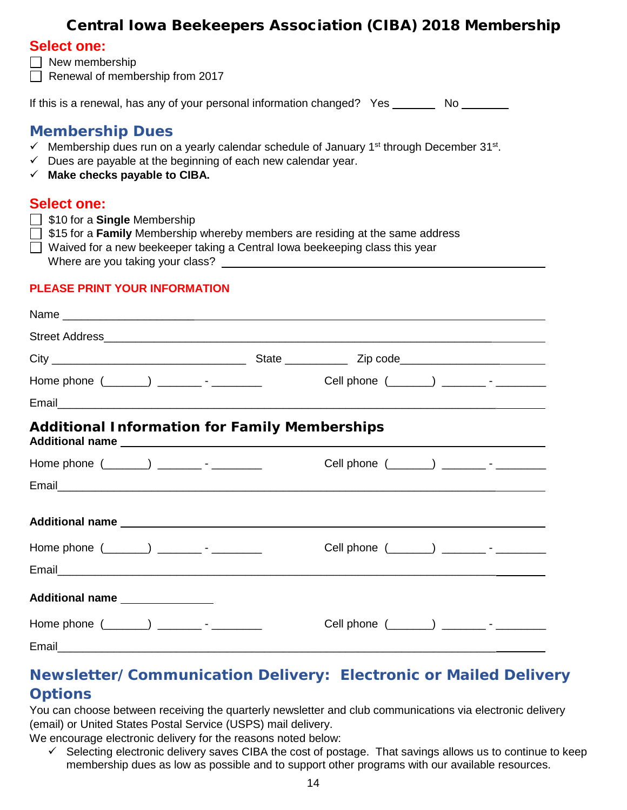## Central Iowa Beekeepers Association (CIBA) 2018 Membership

#### <span id="page-13-0"></span>**Select one:**

- $\Box$  New membership
- Renewal of membership from  $2017$

If this is a renewal, has any of your personal information changed? Yes No

## **Membership Dues**

- $\checkmark$  Membership dues run on a yearly calendar schedule of January 1<sup>st</sup> through December 31<sup>st</sup>.
- $\checkmark$  Dues are payable at the beginning of each new calendar year.
- **Make checks payable to CIBA.**

#### **Select one:**

- \$10 for a **Single** Membership
- \$15 for a **Family** Membership whereby members are residing at the same address
- $\Box$  Waived for a new beekeeper taking a Central lowa beekeeping class this year

Where are you taking your class?

#### **PLEASE PRINT YOUR INFORMATION**

| Home phone (_______) __________- - __________         |  |  | Cell phone (________) ___________- - ___________ |  |  |
|-------------------------------------------------------|--|--|--------------------------------------------------|--|--|
|                                                       |  |  |                                                  |  |  |
| <b>Additional Information for Family Memberships</b>  |  |  |                                                  |  |  |
| Home phone $(\_\_\_\_)$ $\_\_\_\_\_$ - $\_\_\_\_\_\_$ |  |  | Cell phone (_______) __________- - __________    |  |  |
|                                                       |  |  |                                                  |  |  |
|                                                       |  |  |                                                  |  |  |
| Home phone $(\_\_\_\_)$ __________ - __________       |  |  | Cell phone (_______) _________- - __________     |  |  |
|                                                       |  |  |                                                  |  |  |
| Additional name                                       |  |  |                                                  |  |  |
|                                                       |  |  | Cell phone (_______) __________ - __________     |  |  |
|                                                       |  |  |                                                  |  |  |

## **Newsletter/Communication Delivery: Electronic or Mailed Delivery Options**

You can choose between receiving the quarterly newsletter and club communications via electronic delivery (email) or United States Postal Service (USPS) mail delivery.

We encourage electronic delivery for the reasons noted below:

 $\checkmark$  Selecting electronic delivery saves CIBA the cost of postage. That savings allows us to continue to keep membership dues as low as possible and to support other programs with our available resources.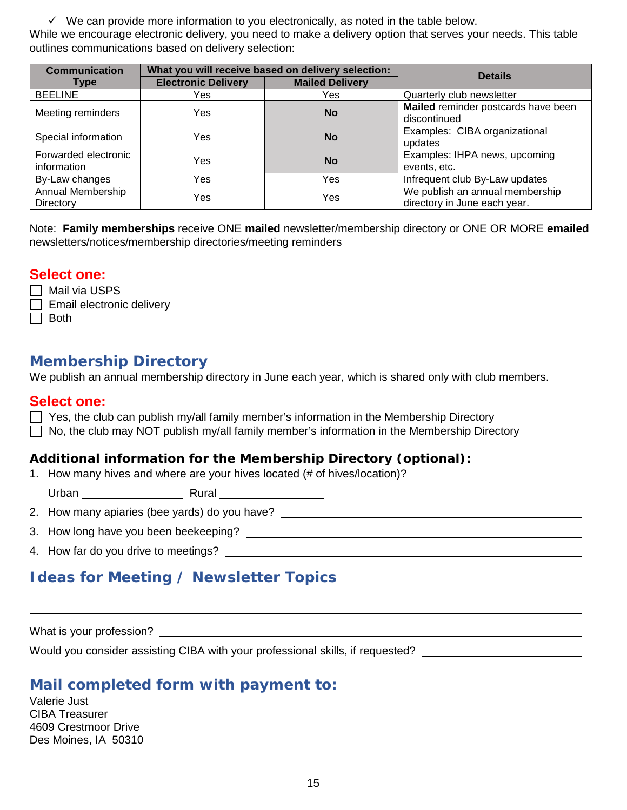$\checkmark$  We can provide more information to you electronically, as noted in the table below.

While we encourage electronic delivery, you need to make a delivery option that serves your needs. This table outlines communications based on delivery selection:

| <b>Communication</b>                | What you will receive based on delivery selection: |                        | <b>Details</b>                                                  |
|-------------------------------------|----------------------------------------------------|------------------------|-----------------------------------------------------------------|
| <b>Type</b>                         | <b>Electronic Delivery</b>                         | <b>Mailed Delivery</b> |                                                                 |
| <b>BEELINE</b>                      | Yes                                                | Yes                    | Quarterly club newsletter                                       |
| Meeting reminders                   | Yes                                                | <b>No</b>              | Mailed reminder postcards have been<br>discontinued             |
| Special information                 | Yes                                                | No                     | Examples: CIBA organizational<br>updates                        |
| Forwarded electronic<br>information | Yes                                                | <b>No</b>              | Examples: IHPA news, upcoming<br>events, etc.                   |
| By-Law changes                      | Yes                                                | Yes                    | Infrequent club By-Law updates                                  |
| Annual Membership<br>Directory      | Yes                                                | Yes                    | We publish an annual membership<br>directory in June each year. |

Note: **Family memberships** receive ONE **mailed** newsletter/membership directory or ONE OR MORE **emailed** newsletters/notices/membership directories/meeting reminders

## **Select one:**

 $\Box$  Mail via USPS

 $\Box$  Email electronic delivery

 $\Box$  Both

## **Membership Directory**

We publish an annual membership directory in June each year, which is shared only with club members.

#### **Select one:**

 $\Box$  Yes, the club can publish my/all family member's information in the Membership Directory

 $\Box$  No, the club may NOT publish my/all family member's information in the Membership Directory

#### **Additional information for the Membership Directory (optional):**

1. How many hives and where are your hives located (# of hives/location)?

Urban Rural

2. How many apiaries (bee yards) do you have?

3. How long have you been beekeeping?

4. How far do you drive to meetings?

## **Ideas for Meeting / Newsletter Topics**

What is your profession?

Would you consider assisting CIBA with your professional skills, if requested?

## **Mail completed form with payment to:**

Valerie Just CIBA Treasurer 4609 Crestmoor Drive Des Moines, IA 50310